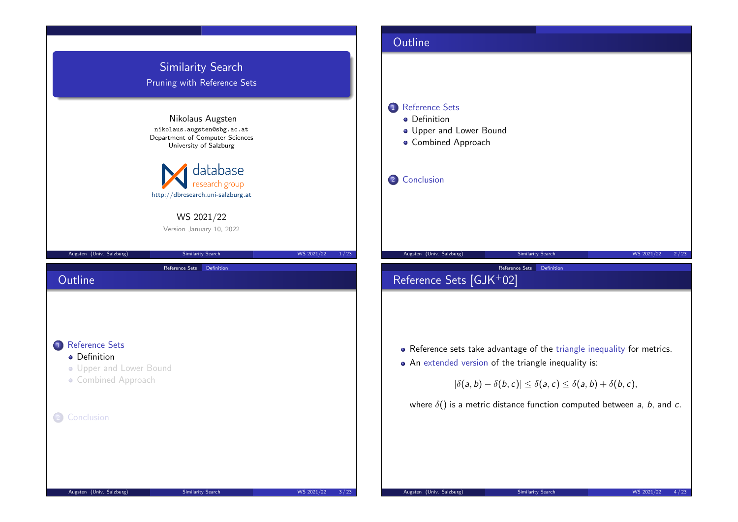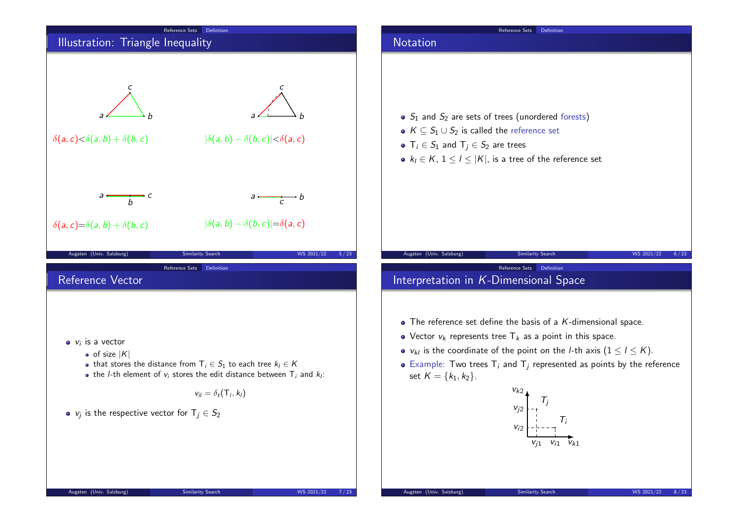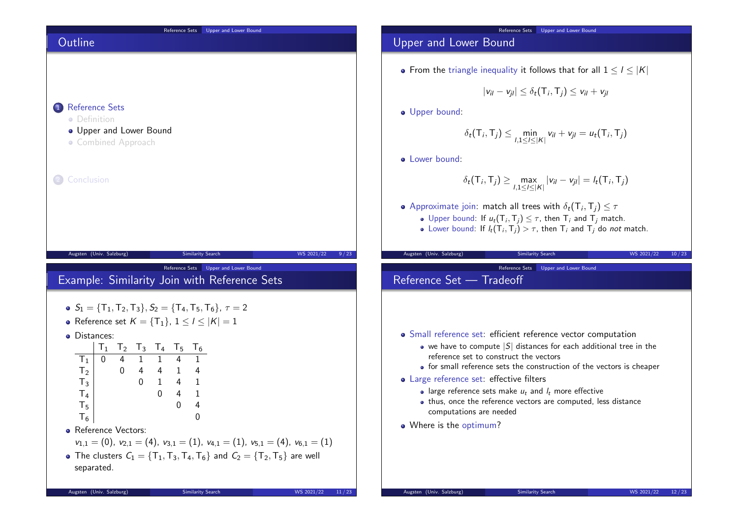

# Upper and Lower Bound

• From the triangle inequality it follows that for all  $1 \leq l \leq |K|$ 

$$
|v_{il}-v_{jl}|\leq \delta_t(T_i,T_j)\leq v_{il}+v_{jl}
$$

**·** Upper bound:

$$
\delta_t(\mathsf{T}_i,\mathsf{T}_j) \leq \min_{l,1 \leq l \leq |\mathsf{K}|} v_{il} + v_{jl} = u_t(\mathsf{T}_i,\mathsf{T}_j)
$$

**a** Lower bound:

$$
\delta_t(\mathsf{T}_i, \mathsf{T}_j) \geq \max_{l, 1 \leq l \leq |\mathsf{K}|} |v_{il} - v_{jl}| = l_t(\mathsf{T}_i, \mathsf{T}_j)
$$

- Approximate join: match all trees with  $\delta_t(\mathsf{T}_i, \mathsf{T}_j) \leq \tau$ Upper bound: If  $u_t(T_i, T_j) \leq \tau$ , then  $T_i$  and  $T_j$  match.
	- Lower bound: If  $l_t(T_i, T_j) > \tau$ , then  $T_i$  and  $T_j$  do not match.

Reference Sets Upper and Lower Bound

Augsten (Univ. Salzburg) Similarity Search WS 2021/22 10/23

# Reference Set — Tradeoff

- Small reference set: efficient reference vector computation
	- $\bullet$  we have to compute  $|S|$  distances for each additional tree in the reference set to construct the vectors
	- for small reference sets the construction of the vectors is cheaper
- Large reference set: effective filters
	- large reference sets make  $u_t$  and  $l_t$  more effective
	- thus, once the reference vectors are computed, less distance computations are needed
- Where is the optimum?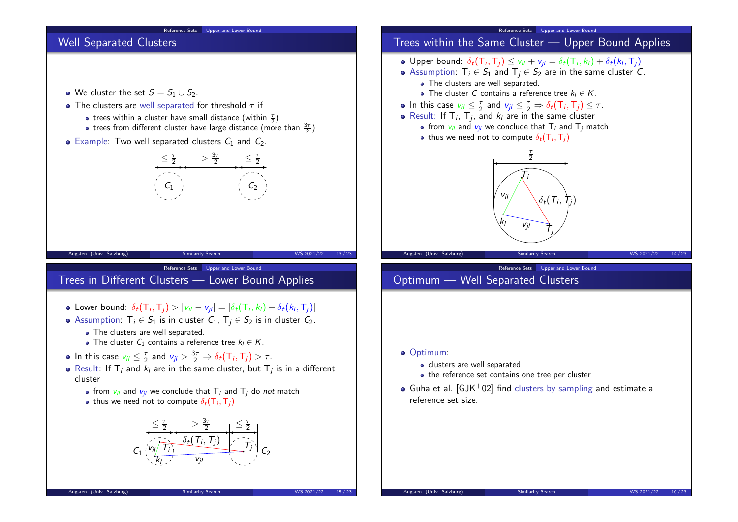### Reference Sets Upper and Lower Bound

# Well Separated Clusters

- We cluster the set  $S = S_1 \cup S_2$ .
- The clusters are well separated for threshold  $\tau$  if
	- trees within a cluster have small distance (within  $\frac{\tau}{2}$ )
	- trees from different cluster have large distance (more than  $\frac{3\tau}{2}$ )
- $\bullet$  Example: Two well separated clusters  $C_1$  and  $C_2$ .



Augsten (Univ. Salzburg) Similarity Search WS 2021/22 13/23

Reference Sets Upper and Lower Bound

# Trees in Different Clusters — Lower Bound Applies

- Lower bound:  $\delta_t(\mathsf{T}_i, \mathsf{T}_j) > |v_{il} v_{jl}| = |\delta_t(\mathsf{T}_i, k_l) \delta_t(k_l, \mathsf{T}_j)|$
- Assumption:  $T_i \in S_1$  is in cluster  $C_1$ ,  $T_i \in S_2$  is in cluster  $C_2$ .
	- The clusters are well separated.
	- The cluster  $C_1$  contains a reference tree  $k_1 \in K$ .
- In this case  $v_{il} \leq \frac{\tau}{2}$  and  $v_{jl} > \frac{3\tau}{2} \Rightarrow \delta_t(\mathsf{T}_i, \mathsf{T}_j) > \tau$ .
- Result: If  $\mathsf{T}_i$  and  $k_l$  are in the same cluster, but  $\mathsf{T}_j$  is in a different cluster
	- from  $v_{ij}$  and  $v_{ij}$  we conclude that  $T_i$  and  $T_j$  do not match
	- thus we need not to compute  $\delta_t(\mathsf{T}_i,\mathsf{T}_j)$



#### Reference Sets Upper and Lower Bound

- Trees within the Same Cluster Upper Bound Applies
- Upper bound:  $\delta_t(\mathsf{T}_i, \mathsf{T}_j) \leq v_{il} + v_{jl} = \delta_t(\mathsf{T}_i, k_l) + \delta_t(k_l, \mathsf{T}_j)$
- Assumption:  $T_i \in S_1$  and  $T_i \in S_2$  are in the same cluster C.
	- The clusters are well separated.
	- The cluster C contains a reference tree  $k_1 \in K$ .
- In this case  $v_{il} \leq \frac{\tau}{2}$  and  $v_{jl} \leq \frac{\tau}{2} \Rightarrow \delta_t(\tau_i, \tau_j) \leq \tau$ .
- Result: If  $\mathsf{T}_i$ ,  $\mathsf{T}_j$ , and  $k_l$  are in the same cluster
	- from  $v_{ii}$  and  $v_{jj}$  we conclude that  $T_i$  and  $T_j$  match
	- thus we need not to compute  $\delta_t(\mathsf{T}_i,\mathsf{T}_j)$



Reference Sets Upper and Lower Bound

# Optimum — Well Separated Clusters

- Optimum:
	- clusters are well separated
	- the reference set contains one tree per cluster
- $\bullet$  Guha et al. [GJK+02] find clusters by sampling and estimate a reference set size.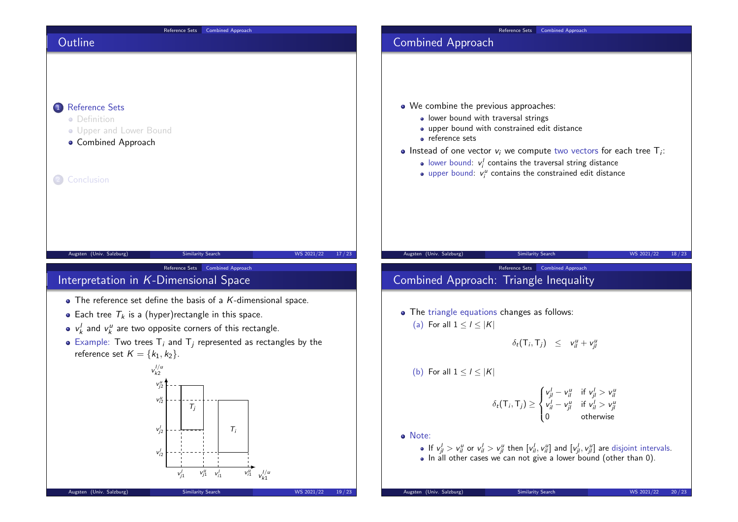